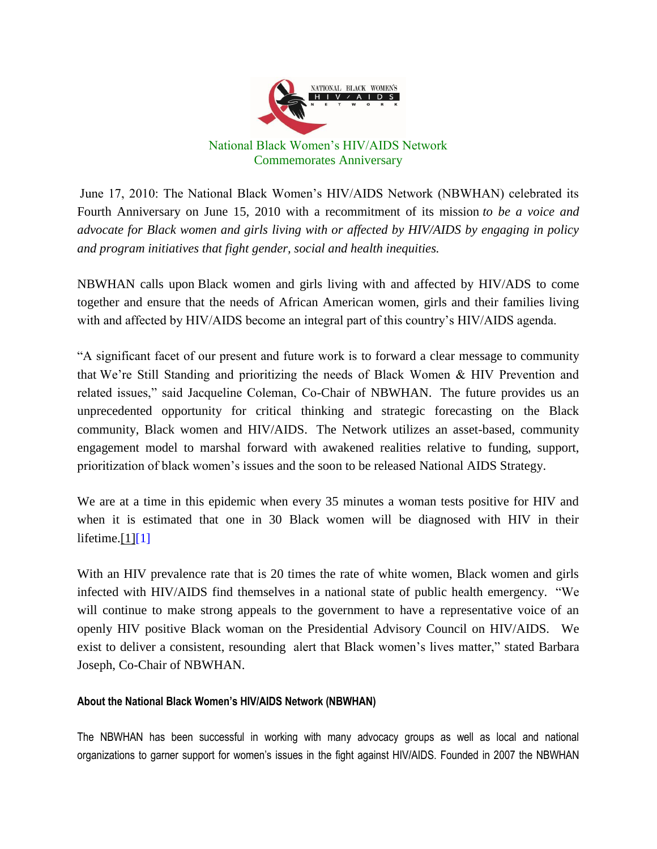

June 17, 2010: The National Black Women's HIV/AIDS Network (NBWHAN) celebrated its Fourth Anniversary on June 15, 2010 with a recommitment of its mission *to be a voice and advocate for Black women and girls living with or affected by HIV/AIDS by engaging in policy and program initiatives that fight gender, social and health inequities.*

NBWHAN calls upon Black women and girls living with and affected by HIV/ADS to come together and ensure that the needs of African American women, girls and their families living with and affected by HIV/AIDS become an integral part of this country's HIV/AIDS agenda.

"A significant facet of our present and future work is to forward a clear message to community that We're Still Standing and prioritizing the needs of Black Women & HIV Prevention and related issues," said Jacqueline Coleman, Co-Chair of NBWHAN. The future provides us an unprecedented opportunity for critical thinking and strategic forecasting on the Black community, Black women and HIV/AIDS. The Network utilizes an asset-based, community engagement model to marshal forward with awakened realities relative to funding, support, prioritization of black women's issues and the soon to be released National AIDS Strategy.

We are at a time in this epidemic when every 35 minutes a woman tests positive for HIV and when it is estimated that one in 30 Black women will be diagnosed with HIV in their lifetime. $[1][1]$ 

With an HIV prevalence rate that is 20 times the rate of white women, Black women and girls infected with HIV/AIDS find themselves in a national state of public health emergency. "We will continue to make strong appeals to the government to have a representative voice of an openly HIV positive Black woman on the Presidential Advisory Council on HIV/AIDS. We exist to deliver a consistent, resounding alert that Black women's lives matter," stated Barbara Joseph, Co-Chair of NBWHAN.

## **About the National Black Women's HIV/AIDS Network (NBWHAN)**

The NBWHAN has been successful in working with many advocacy groups as well as local and national organizations to garner support for women's issues in the fight against HIV/AIDS. Founded in 2007 the NBWHAN